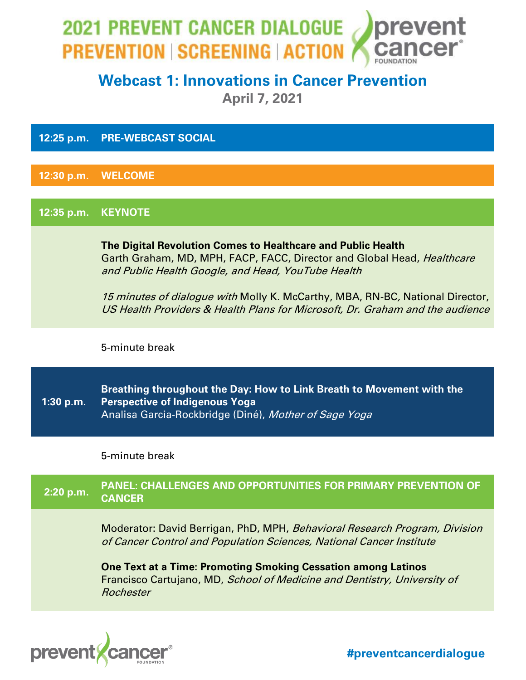

# **Webcast 1: Innovations in Cancer Prevention**

**April 7, 2021**

**12:25 p.m. PRE-WEBCAST SOCIAL**

**12:30 p.m. WELCOME** 

**12:35 p.m. KEYNOTE**

**The Digital Revolution Comes to Healthcare and Public Health** Garth Graham, MD, MPH, FACP, FACC, Director and Global Head, Healthcare and Public Health Google, and Head, YouTube Health

15 minutes of dialogue with Molly K. McCarthy, MBA, RN-BC, National Director, US Health Providers & Health Plans for Microsoft, Dr. Graham and the audience

5-minute break

**1:30 p.m. Breathing throughout the Day: How to Link Breath to Movement with the Perspective of Indigenous Yoga** Analisa Garcia-Rockbridge (Diné), Mother of Sage Yoga

5-minute break

# **2:20 p.m. PANEL: CHALLENGES AND OPPORTUNITIES FOR PRIMARY PREVENTION OF CANCER** Moderator: David Berrigan, PhD, MPH, Behavioral Research Program, Division of Cancer Control and Population Sciences, National Cancer Institute **One Text at a Time: Promoting Smoking Cessation among Latinos** Francisco Cartujano, MD, School of Medicine and Dentistry, University of Rochester

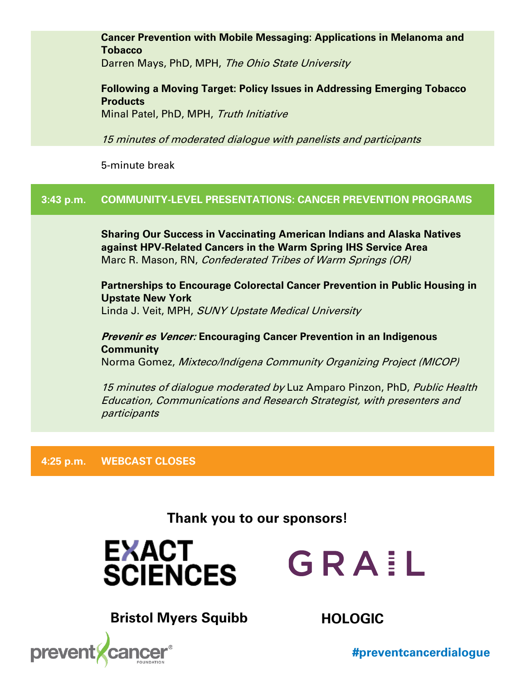**Cancer Prevention with Mobile Messaging: Applications in Melanoma and Tobacco**

Darren Mays, PhD, MPH, *The Ohio State University* 

**Following a Moving Target: Policy Issues in Addressing Emerging Tobacco Products** Minal Patel, PhD, MPH, Truth Initiative

15 minutes of moderated dialogue with panelists and participants

5-minute break

## **3:43 p.m. COMMUNITY-LEVEL PRESENTATIONS: CANCER PREVENTION PROGRAMS**

**Sharing Our Success in Vaccinating American Indians and Alaska Natives against HPV-Related Cancers in the Warm Spring IHS Service Area** Marc R. Mason, RN, Confederated Tribes of Warm Springs (OR)

**Partnerships to Encourage Colorectal Cancer Prevention in Public Housing in Upstate New York** Linda J. Veit, MPH, SUNY Upstate Medical University

**Prevenir es Vencer: Encouraging Cancer Prevention in an Indigenous Community** Norma Gomez, Mixteco/Indígena Community Organizing Project (MICOP)

<sup>15</sup> minutes of dialogue moderated by Luz Amparo Pinzon, PhD, Public Health Education, Communications and Research Strategist, with presenters and participants

**4:25 p.m. WEBCAST CLOSES**

**Thank you to our sponsors!**

**EXACT SCIENCES** 



**Bristol Myers Squibb HOLOGIC**

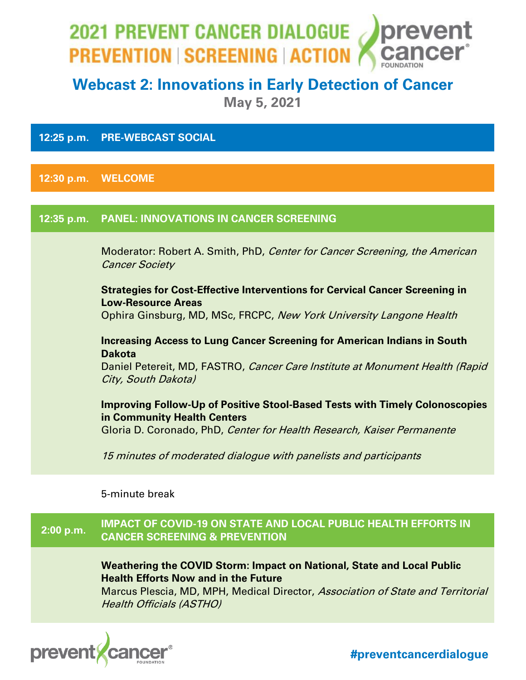

# **Webcast 2: Innovations in Early Detection of Cancer**

**May 5, 2021**

### **12:25 p.m. PRE-WEBCAST SOCIAL**

**12:30 p.m. WELCOME**

### **12:35 p.m. PANEL: INNOVATIONS IN CANCER SCREENING**

Moderator: Robert A. Smith, PhD, Center for Cancer Screening, the American Cancer Society

**Strategies for Cost-Effective Interventions for Cervical Cancer Screening in Low-Resource Areas**  Ophira Ginsburg, MD, MSc, FRCPC, New York University Langone Health

**Increasing Access to Lung Cancer Screening for American Indians in South Dakota**

Daniel Petereit, MD, FASTRO, *Cancer Care Institute at Monument Health (Rapid* City, South Dakota)

**Improving Follow-Up of Positive Stool-Based Tests with Timely Colonoscopies in Community Health Centers**

Gloria D. Coronado, PhD, *Center for Health Research, Kaiser Permanente* 

15 minutes of moderated dialogue with panelists and participants

5-minute break

 **2:00 p.m. IMPACT OF COVID-19 ON STATE AND LOCAL PUBLIC HEALTH EFFORTS IN CANCER SCREENING & PREVENTION**

> **Weathering the COVID Storm: Impact on National, State and Local Public Health Efforts Now and in the Future**

Marcus Plescia, MD, MPH, Medical Director, Association of State and Territorial Health Officials (ASTHO)

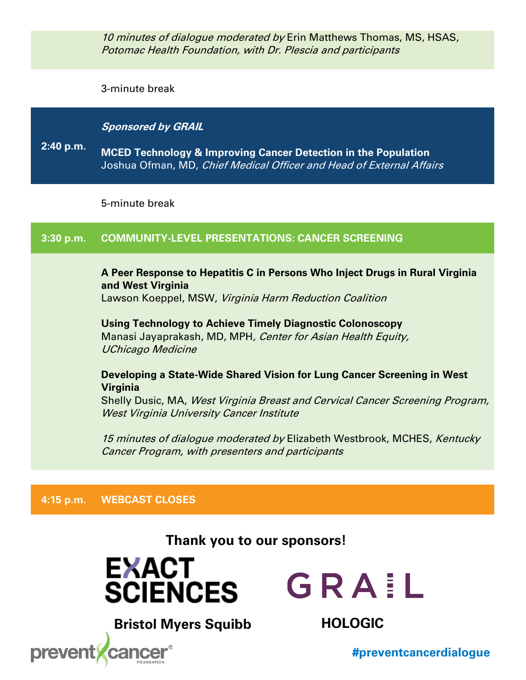10 minutes of dialogue moderated by Erin Matthews Thomas, MS, HSAS, Potomac Health Foundation, with Dr. Plescia and participants

3-minute break

### **Sponsored by GRAIL**

**2:40 p.m. MCED Technology & Improving Cancer Detection in the Population** Joshua Ofman, MD, Chief Medical Officer and Head of External Affairs

5-minute break

## **3:30 p.m. COMMUNITY-LEVEL PRESENTATIONS: CANCER SCREENING**

## **A Peer Response to Hepatitis C in Persons Who Inject Drugs in Rural Virginia and West Virginia**

Lawson Koeppel, MSW, Virginia Harm Reduction Coalition

**Using Technology to Achieve Timely Diagnostic Colonoscopy** Manasi Jayaprakash, MD, MPH, Center for Asian Health Equity, UChicago Medicine

### **Developing a State-Wide Shared Vision for Lung Cancer Screening in West Virginia**

Shelly Dusic, MA, West Virginia Breast and Cervical Cancer Screening Program, West Virginia University Cancer Institute

15 minutes of dialogue moderated by Elizabeth Westbrook, MCHES, Kentucky Cancer Program, with presenters and participants

## **4:15 p.m. WEBCAST CLOSES**

**Thank you to our sponsors!**





**Bristol Myers Squibb HOLOGIC**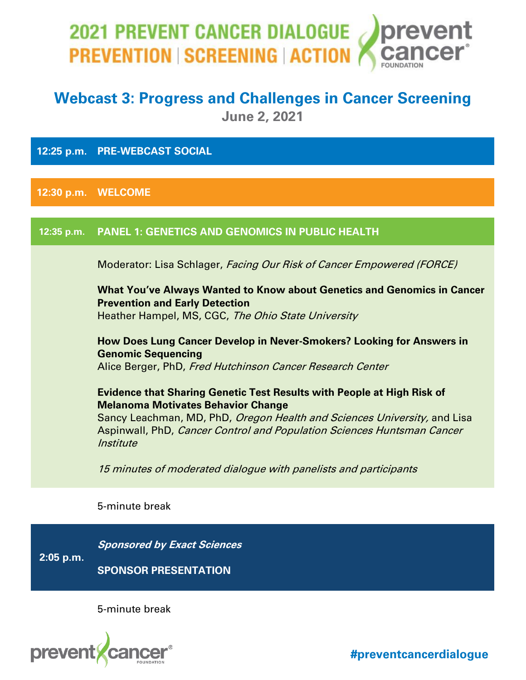# 2021 PREVENT CANCER DIALOGUE prevent **PREVENTION SCREENING ACTION**

## **Webcast 3: Progress and Challenges in Cancer Screening June 2, 2021**

**12:25 p.m. PRE-WEBCAST SOCIAL**

**12:30 p.m. WELCOME**

## **12:35 p.m. PANEL 1: GENETICS AND GENOMICS IN PUBLIC HEALTH**

Moderator: Lisa Schlager, Facing Our Risk of Cancer Empowered (FORCE)

**What You've Always Wanted to Know about Genetics and Genomics in Cancer Prevention and Early Detection**

Heather Hampel, MS, CGC, The Ohio State University

**How Does Lung Cancer Develop in Never-Smokers? Looking for Answers in Genomic Sequencing** Alice Berger, PhD, Fred Hutchinson Cancer Research Center

**Evidence that Sharing Genetic Test Results with People at High Risk of Melanoma Motivates Behavior Change**

Sancy Leachman, MD, PhD, Oregon Health and Sciences University, and Lisa Aspinwall, PhD, Cancer Control and Population Sciences Huntsman Cancer **Institute** 

15 minutes of moderated dialogue with panelists and participants

5-minute break

**2:05 p.m. Sponsored by Exact Sciences SPONSOR PRESENTATION** 

5-minute break